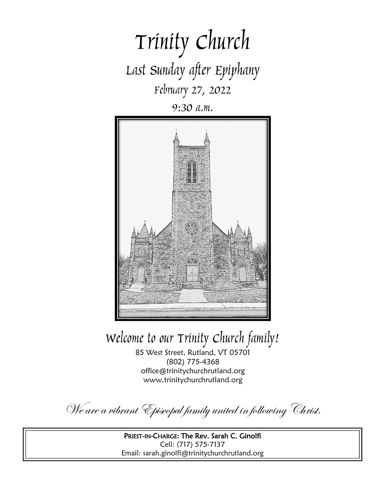# Trinity Church Last Sunday after Epiphany February 27, 2022

9:30 a.m.



Welcome to our Trinity Church family!

85 West Street, Rutland, VT 05701 (802) 775-4368 office@trinitychurchrutland.org www.trinitychurchrutland.org

We are a vibrant Episcopal family united in following Christ.

PRIEST-IN-CHARGE: The Rev. Sarah C. Ginolfi Cell: (717) 575-7137 Email: sarah.ginolfi@trinitychurchrutland.org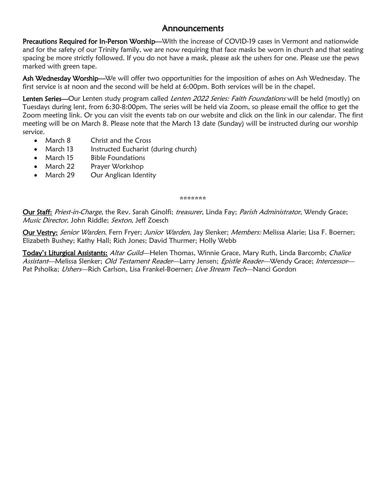### Announcements

Precautions Required for In-Person Worship—With the increase of COVID-19 cases in Vermont and nationwide and for the safety of our Trinity family, we are now requiring that face masks be worn in church and that seating spacing be more strictly followed. If you do not have a mask, please ask the ushers for one. Please use the pews marked with green tape.

Ash Wednesday Worship—We will offer two opportunities for the imposition of ashes on Ash Wednesday. The first service is at noon and the second will be held at 6:00pm. Both services will be in the chapel.

Lenten Series—Our Lenten study program called Lenten 2022 Series: Faith Foundations will be held (mostly) on Tuesdays during lent, from 6:30-8:00pm. The series will be held via Zoom, so please email the office to get the Zoom meeting link. Or you can visit the events tab on our website and click on the link in our calendar. The first meeting will be on March 8. Please note that the March 13 date (Sunday) will be instructed during our worship service.

- March 8 Christ and the Cross
- March 13 Instructed Eucharist (during church)
- March 15 Bible Foundations
- March 22 Prayer Workshop
- March 29 Our Anglican Identity

\*\*\*\*\*\*\*

Our Staff: Priest-in-Charge, the Rev. Sarah Ginolfi; treasurer, Linda Fay; Parish Administrator, Wendy Grace; Music Director, John Riddle; Sexton, Jeff Zoesch

Our Vestry: Senior Warden, Fern Fryer; Junior Warden, Jay Slenker; Members: Melissa Alarie; Lisa F. Boerner; Elizabeth Bushey; Kathy Hall; Rich Jones; David Thurmer; Holly Webb

Today's Liturgical Assistants: Altar Guild-Helen Thomas, Winnie Grace, Mary Ruth, Linda Barcomb; Chalice Assistant—Melissa Slenker; Old Testament Reader—Larry Jensen; Epistle Reader—Wendy Grace; Intercessor— Pat Psholka: *Ushers*—Rich Carlson, Lisa Frankel-Boerner; *Live Stream Tech*—Nanci Gordon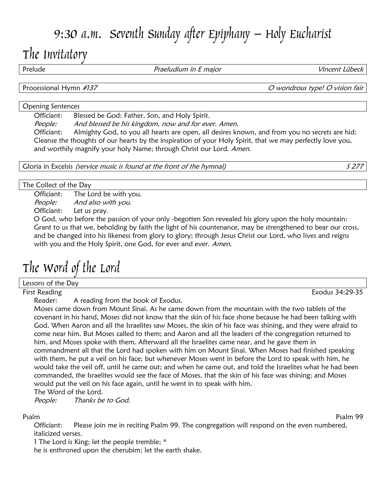## 9:30 a.m. Seventh Sunday after Epiphany – Holy Eucharist

### The Invitatory

Prelude **Praeludium in E major** Praeludium in E major Prelude Vincent Lübeck

Processional Hymn #137 O wondrous type! O vision fair

#### Opening Sentences

Officiant: Blessed be God: Father, Son, and Holy Spirit.

People: And blessed be his kingdom, now and for ever. Amen.

Officiant: Almighty God, to you all hearts are open, all desires known, and from you no secrets are hid: Cleanse the thoughts of our hearts by the inspiration of your Holy Spirit, that we may perfectly love you, and worthily magnify your holy Name; through Christ our Lord. Amen.

Gloria in Excelsis *(service music is found at the front of the hymnal)* S 277

#### The Collect of the Day

Officiant: The Lord be with you. People: And also with you. Officiant: Let us pray.

O God, who before the passion of your only -begotten Son revealed his glory upon the holy mountain: Grant to us that we, beholding by faith the light of his countenance, may be strengthened to bear our cross, and be changed into his likeness from glory to glory; through Jesus Christ our Lord, who lives and reigns with you and the Holy Spirit, one God, for ever and ever. Amen.

## The Word of the Lord

Lessons of the Day

First Reading Exodus 34:29-35

Reader: A reading from the book of Exodus.

Moses came down from Mount Sinai. As he came down from the mountain with the two tablets of the covenant in his hand, Moses did not know that the skin of his face shone because he had been talking with God. When Aaron and all the Israelites saw Moses, the skin of his face was shining, and they were afraid to come near him. But Moses called to them; and Aaron and all the leaders of the congregation returned to him, and Moses spoke with them. Afterward all the Israelites came near, and he gave them in commandment all that the Lord had spoken with him on Mount Sinai. When Moses had finished speaking with them, he put a veil on his face; but whenever Moses went in before the Lord to speak with him, he would take the veil off, until he came out; and when he came out, and told the Israelites what he had been commanded, the Israelites would see the face of Moses, that the skin of his face was shining; and Moses would put the veil on his face again, until he went in to speak with him.

The Word of the Lord.

People: Thanks be to God.

Psalm Psalm 99

Officiant: Please join me in reciting Psalm 99. The congregation will respond on the even numbered, italicized verses.

1 The Lord is King; let the people tremble; \*

he is enthroned upon the cherubim; let the earth shake.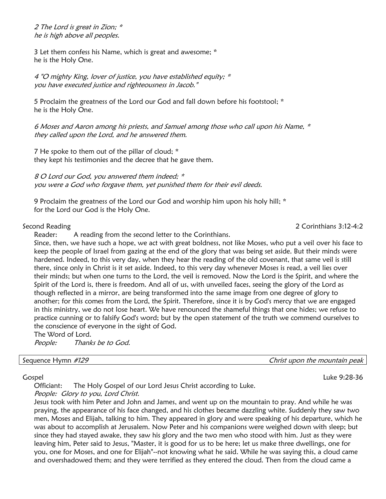2 The Lord is great in Zion; \* he is high above all peoples.

3 Let them confess his Name, which is great and awesome; \* he is the Holy One.

4 "O mighty King, lover of justice, you have established equity; \* you have executed justice and righteousness in Jacob."

5 Proclaim the greatness of the Lord our God and fall down before his footstool; \* he is the Holy One.

6 Moses and Aaron among his priests, and Samuel among those who call upon his Name, \* they called upon the Lord, and he answered them.

7 He spoke to them out of the pillar of cloud; \* they kept his testimonies and the decree that he gave them.

8 O Lord our God, you answered them indeed; \* you were a God who forgave them, yet punished them for their evil deeds.

9 Proclaim the greatness of the Lord our God and worship him upon his holy hill; \* for the Lord our God is the Holy One.

Second Reading 2 Corinthians 3:12-4:2

Reader: A reading from the second letter to the Corinthians.

Since, then, we have such a hope, we act with great boldness, not like Moses, who put a veil over his face to keep the people of Israel from gazing at the end of the glory that was being set aside. But their minds were hardened. Indeed, to this very day, when they hear the reading of the old covenant, that same veil is still there, since only in Christ is it set aside. Indeed, to this very day whenever Moses is read, a veil lies over their minds; but when one turns to the Lord, the veil is removed. Now the Lord is the Spirit, and where the Spirit of the Lord is, there is freedom. And all of us, with unveiled faces, seeing the glory of the Lord as though reflected in a mirror, are being transformed into the same image from one degree of glory to another; for this comes from the Lord, the Spirit. Therefore, since it is by God's mercy that we are engaged in this ministry, we do not lose heart. We have renounced the shameful things that one hides; we refuse to practice cunning or to falsify God's word; but by the open statement of the truth we commend ourselves to the conscience of everyone in the sight of God.

The Word of Lord.

People: Thanks be to God.

Sequence Hymn #129 Sequence Hymn #129

### Gospel Luke 9:28-36

Officiant: The Holy Gospel of our Lord Jesus Christ according to Luke.

People: Glory to you, Lord Christ.

Jesus took with him Peter and John and James, and went up on the mountain to pray. And while he was praying, the appearance of his face changed, and his clothes became dazzling white. Suddenly they saw two men, Moses and Elijah, talking to him. They appeared in glory and were speaking of his departure, which he was about to accomplish at Jerusalem. Now Peter and his companions were weighed down with sleep; but since they had stayed awake, they saw his glory and the two men who stood with him. Just as they were leaving him, Peter said to Jesus, "Master, it is good for us to be here; let us make three dwellings, one for you, one for Moses, and one for Elijah"--not knowing what he said. While he was saying this, a cloud came and overshadowed them; and they were terrified as they entered the cloud. Then from the cloud came a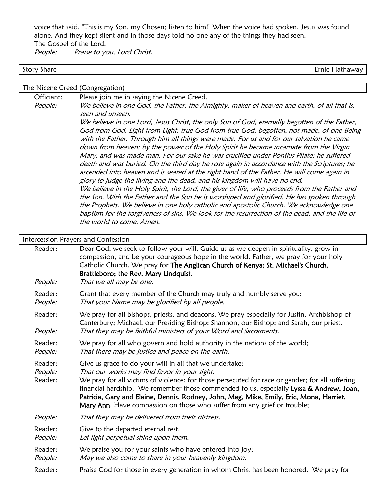voice that said, "This is my Son, my Chosen; listen to him!" When the voice had spoken, Jesus was found alone. And they kept silent and in those days told no one any of the things they had seen. The Gospel of the Lord.

People: Praise to you, Lord Christ.

Story Share **Example 2018** Story Share **Example 2018** Story Share **Example 2019** Story Share **Example 2019** Story Share **Example 2019** Story Share **Example 2019** Story Share **Example 2019** Story Share 2019 Story Share 2019

| The Nicene Creed (Congregation)     |                                                                                                                                                                                  |  |  |  |
|-------------------------------------|----------------------------------------------------------------------------------------------------------------------------------------------------------------------------------|--|--|--|
| Officiant:                          | Please join me in saying the Nicene Creed.                                                                                                                                       |  |  |  |
| People:                             | We believe in one God, the Father, the Almighty, maker of heaven and earth, of all that is,                                                                                      |  |  |  |
|                                     | seen and unseen.                                                                                                                                                                 |  |  |  |
|                                     | We believe in one Lord, Jesus Christ, the only Son of God, eternally begotten of the Father,                                                                                     |  |  |  |
|                                     | God from God, Light from Light, true God from true God, begotten, not made, of one Being                                                                                         |  |  |  |
|                                     | with the Father. Through him all things were made. For us and for our salvation he came<br>down from heaven: by the power of the Holy Spirit he became incarnate from the Virgin |  |  |  |
|                                     | Mary, and was made man. For our sake he was crucified under Pontius Pilate; he suffered                                                                                          |  |  |  |
|                                     | death and was buried. On the third day he rose again in accordance with the Scriptures; he                                                                                       |  |  |  |
|                                     | ascended into heaven and is seated at the right hand of the Father. He will come again in                                                                                        |  |  |  |
|                                     | glory to judge the living and the dead, and his kingdom will have no end.                                                                                                        |  |  |  |
|                                     | We believe in the Holy Spirit, the Lord, the giver of life, who proceeds from the Father and                                                                                     |  |  |  |
|                                     | the Son. With the Father and the Son he is worshiped and glorified. He has spoken through                                                                                        |  |  |  |
|                                     | the Prophets. We believe in one holy catholic and apostolic Church. We acknowledge one                                                                                           |  |  |  |
|                                     | baptism for the forgiveness of sins. We look for the resurrection of the dead, and the life of<br>the world to come. Amen.                                                       |  |  |  |
|                                     |                                                                                                                                                                                  |  |  |  |
| Intercession Prayers and Confession |                                                                                                                                                                                  |  |  |  |
| Reader:                             | Dear God, we seek to follow your will. Guide us as we deepen in spirituality, grow in                                                                                            |  |  |  |
|                                     | compassion, and be your courageous hope in the world. Father, we pray for your holy                                                                                              |  |  |  |
|                                     | Catholic Church. We pray for The Anglican Church of Kenya; St. Michael's Church,                                                                                                 |  |  |  |
|                                     | Brattleboro; the Rev. Mary Lindquist.                                                                                                                                            |  |  |  |
| People:                             | That we all may be one.                                                                                                                                                          |  |  |  |
| Reader:                             | Grant that every member of the Church may truly and humbly serve you;                                                                                                            |  |  |  |
| People:                             | That your Name may be glorified by all people.                                                                                                                                   |  |  |  |
| Reader:                             | We pray for all bishops, priests, and deacons. We pray especially for Justin, Archbishop of                                                                                      |  |  |  |
|                                     | Canterbury; Michael, our Presiding Bishop; Shannon, our Bishop; and Sarah, our priest.                                                                                           |  |  |  |
| People:                             | That they may be faithful ministers of your Word and Sacraments.                                                                                                                 |  |  |  |
| Reader:                             | We pray for all who govern and hold authority in the nations of the world;                                                                                                       |  |  |  |
| People:                             | That there may be justice and peace on the earth.                                                                                                                                |  |  |  |
| Reader:                             | Give us grace to do your will in all that we undertake;                                                                                                                          |  |  |  |
| People:                             | That our works may find favor in your sight.                                                                                                                                     |  |  |  |
| Reader:                             | We pray for all victims of violence; for those persecuted for race or gender; for all suffering                                                                                  |  |  |  |
|                                     | financial hardship. We remember those commended to us, especially Lyssa & Andrew, Joan,                                                                                          |  |  |  |
|                                     | Patricia, Gary and Elaine, Dennis, Rodney, John, Meg, Mike, Emily, Eric, Mona, Harriet,<br>Mary Ann. Have compassion on those who suffer from any grief or trouble;              |  |  |  |
|                                     |                                                                                                                                                                                  |  |  |  |
| People:                             | That they may be delivered from their distress.                                                                                                                                  |  |  |  |
| Reader:                             | Give to the departed eternal rest.                                                                                                                                               |  |  |  |
| People:                             | Let light perpetual shine upon them.                                                                                                                                             |  |  |  |
| Reader:                             | We praise you for your saints who have entered into joy;                                                                                                                         |  |  |  |
| People:                             | May we also come to share in your heavenly kingdom.                                                                                                                              |  |  |  |

Reader: Praise God for those in every generation in whom Christ has been honored. We pray for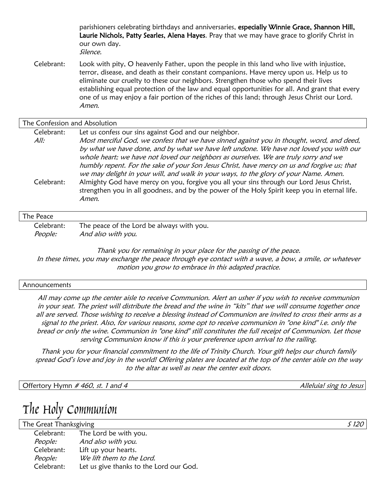parishioners celebrating birthdays and anniversaries, especially Winnie Grace, Shannon Hill, Laurie Nichols, Patty Searles, Alena Hayes. Pray that we may have grace to glorify Christ in our own day. Silence.

Celebrant: Look with pity, O heavenly Father, upon the people in this land who live with injustice, terror, disease, and death as their constant companions. Have mercy upon us. Help us to eliminate our cruelty to these our neighbors. Strengthen those who spend their lives establishing equal protection of the law and equal opportunities for all. And grant that every one of us may enjoy a fair portion of the riches of this land; through Jesus Christ our Lord. Amen.

The Confession and Absolution

| Celebrant: | Let us confess our sins against God and our neighbor.                                         |
|------------|-----------------------------------------------------------------------------------------------|
| All:       | Most merciful God, we confess that we have sinned against you in thought, word, and deed,     |
|            | by what we have done, and by what we have left undone. We have not loved you with our         |
|            | whole heart; we have not loved our neighbors as ourselves. We are truly sorry and we          |
|            | humbly repent. For the sake of your Son Jesus Christ, have mercy on us and forgive us; that   |
|            | we may delight in your will, and walk in your ways, to the glory of your Name. Amen.          |
| Celebrant: | Almighty God have mercy on you, forgive you all your sins through our Lord Jesus Christ,      |
|            | strengthen you in all goodness, and by the power of the Holy Spirit keep you in eternal life. |
|            | Amen.                                                                                         |

#### The Peace

| Celebrant: | The peace of the Lord be always with you. |
|------------|-------------------------------------------|
| People:    | And also with you.                        |

Thank you for remaining in your place for the passing of the peace. In these times, you may exchange the peace through eye contact with a wave, a bow, a smile, or whatever motion you grow to embrace in this adapted practice.

#### **Announcements**

All may come up the center aisle to receive Communion. Alert an usher if you wish to receive communion in your seat. The priest will distribute the bread and the wine in "kits" that we will consume together once all are served. Those wishing to receive a blessing instead of Communion are invited to cross their arms as a signal to the priest. Also, for various reasons, some opt to receive communion in "one kind" i.e. only the bread or only the wine. Communion in "one kind" still constitutes the full receipt of Communion. Let those serving Communion know if this is your preference upon arrival to the railing.

Thank you for your financial commitment to the life of Trinity Church. Your gift helps our church family spread God's love and joy in the world! Offering plates are located at the top of the center aisle on the way to the altar as well as near the center exit doors.

Offertory Hymn # 460, st. 1 and 4 Alleluia! sing to Jesus

## The Holy Communion

| The Great Thanksgiving |                                         | S 120 |
|------------------------|-----------------------------------------|-------|
| Celebrant:             | The Lord be with you.                   |       |
| <i>People:</i>         | And also with you.                      |       |
| Celebrant:             | Lift up your hearts.                    |       |
| <i>People:</i>         | We lift them to the Lord.               |       |
| Celebrant:             | Let us give thanks to the Lord our God. |       |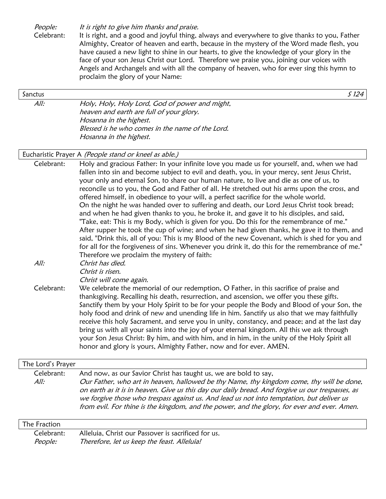People: It is right to give him thanks and praise.

Celebrant: It is right, and a good and joyful thing, always and everywhere to give thanks to you, Father Almighty, Creator of heaven and earth, because in the mystery of the Word made flesh, you have caused a new light to shine in our hearts, to give the knowledge of your glory in the face of your son Jesus Christ our Lord. Therefore we praise you, joining our voices with Angels and Archangels and with all the company of heaven, who for ever sing this hymn to proclaim the glory of your Name:

Sanctus  $\sim$  Since  $\sim$  Since  $\sim$  Since  $\sim$  Since  $\sim$  Since  $\sim$  Since  $\sim$  Since  $\sim$  Since  $\sim$  Since  $\sim$  Since  $\sim$  Since  $\sim$  Since  $\sim$  Since  $\sim$  Since  $\sim$  Since  $\sim$  Since  $\sim$  Since  $\sim$  Since  $\sim$  Since  $\sim$ 

All: Holy, Holy, Holy Lord, God of power and might, heaven and earth are full of your glory. Hosanna in the highest. Blessed is he who comes in the name of the Lord. Hosanna in the highest.

### Eucharistic Prayer A (People stand or kneel as able.)

Celebrant: Holy and gracious Father: In your infinite love you made us for yourself, and, when we had fallen into sin and become subject to evil and death, you, in your mercy, sent Jesus Christ, your only and eternal Son, to share our human nature, to live and die as one of us, to reconcile us to you, the God and Father of all. He stretched out his arms upon the cross, and offered himself, in obedience to your will, a perfect sacrifice for the whole world. On the night he was handed over to suffering and death, our Lord Jesus Christ took bread; and when he had given thanks to you, he broke it, and gave it to his disciples, and said, "Take, eat: This is my Body, which is given for you. Do this for the remembrance of me." After supper he took the cup of wine; and when he had given thanks, he gave it to them, and said, "Drink this, all of you: This is my Blood of the new Covenant, which is shed for you and for all for the forgiveness of sins. Whenever you drink it, do this for the remembrance of me." Therefore we proclaim the mystery of faith: All: Christ has died. Christ is risen. Christ will come again. Celebrant: We celebrate the memorial of our redemption, O Father, in this sacrifice of praise and thanksgiving. Recalling his death, resurrection, and ascension, we offer you these gifts. Sanctify them by your Holy Spirit to be for your people the Body and Blood of your Son, the holy food and drink of new and unending life in him. Sanctify us also that we may faithfully receive this holy Sacrament, and serve you in unity, constancy, and peace; and at the last day bring us with all your saints into the joy of your eternal kingdom. All this we ask through your Son Jesus Christ: By him, and with him, and in him, in the unity of the Holy Spirit all honor and glory is yours, Almighty Father, now and for ever. AMEN.

The Lord's Prayer Celebrant: And now, as our Savior Christ has taught us, we are bold to say, All: Our Father, who art in heaven, hallowed be thy Name, thy kingdom come, thy will be done, on earth as it is in heaven. Give us this day our daily bread. And forgive us our trespasses, as we forgive those who trespass against us. And lead us not into temptation, but deliver us from evil. For thine is the kingdom, and the power, and the glory, for ever and ever. Amen.

### The Fraction

| Celebrant: | Alleluia, Christ our Passover is sacrificed for us. |  |
|------------|-----------------------------------------------------|--|
| People:    | Therefore, let us keep the feast. Alleluia!         |  |